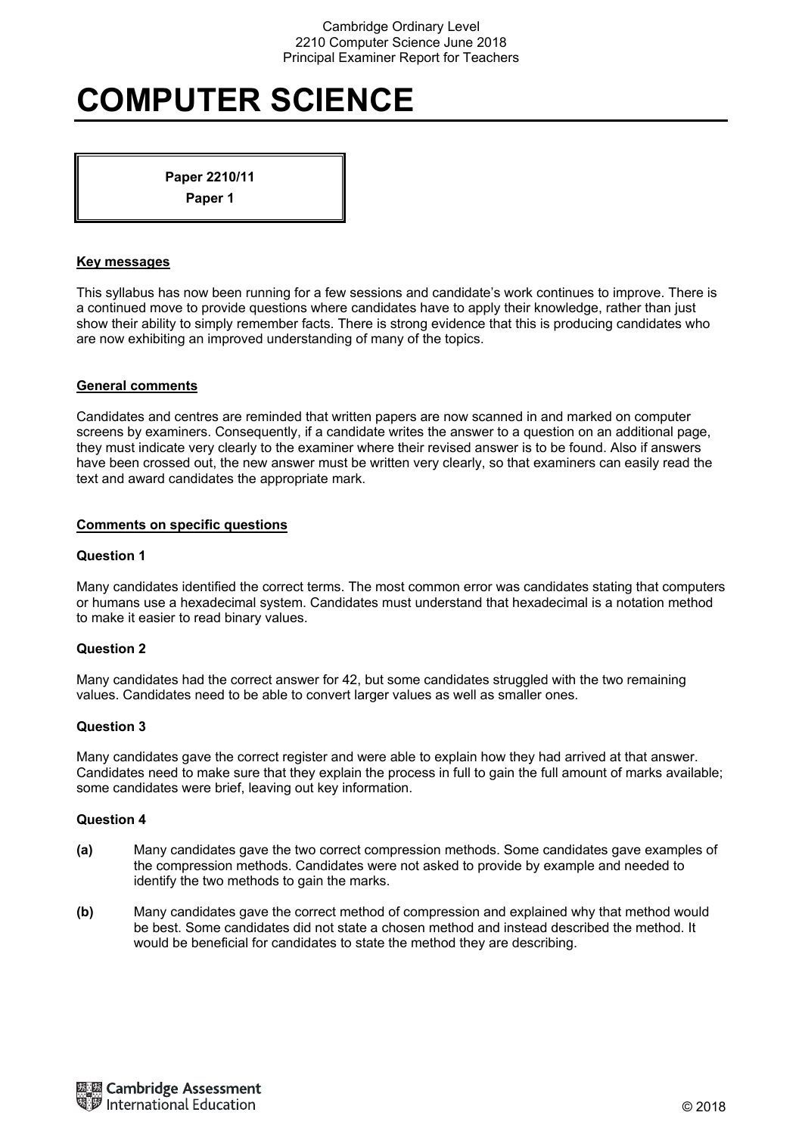# **COMPUTER SCIENCE**

**Paper 2210/11 Paper 1** 

#### **Key messages**

This syllabus has now been running for a few sessions and candidate's work continues to improve. There is a continued move to provide questions where candidates have to apply their knowledge, rather than just show their ability to simply remember facts. There is strong evidence that this is producing candidates who are now exhibiting an improved understanding of many of the topics.

## **General comments**

Candidates and centres are reminded that written papers are now scanned in and marked on computer screens by examiners. Consequently, if a candidate writes the answer to a question on an additional page, they must indicate very clearly to the examiner where their revised answer is to be found. Also if answers have been crossed out, the new answer must be written very clearly, so that examiners can easily read the text and award candidates the appropriate mark.

## **Comments on specific questions**

## **Question 1**

Many candidates identified the correct terms. The most common error was candidates stating that computers or humans use a hexadecimal system. Candidates must understand that hexadecimal is a notation method to make it easier to read binary values.

# **Question 2**

Many candidates had the correct answer for 42, but some candidates struggled with the two remaining values. Candidates need to be able to convert larger values as well as smaller ones.

#### **Question 3**

Many candidates gave the correct register and were able to explain how they had arrived at that answer. Candidates need to make sure that they explain the process in full to gain the full amount of marks available; some candidates were brief, leaving out key information.

- **(a)** Many candidates gave the two correct compression methods. Some candidates gave examples of the compression methods. Candidates were not asked to provide by example and needed to identify the two methods to gain the marks.
- **(b)** Many candidates gave the correct method of compression and explained why that method would be best. Some candidates did not state a chosen method and instead described the method. It would be beneficial for candidates to state the method they are describing.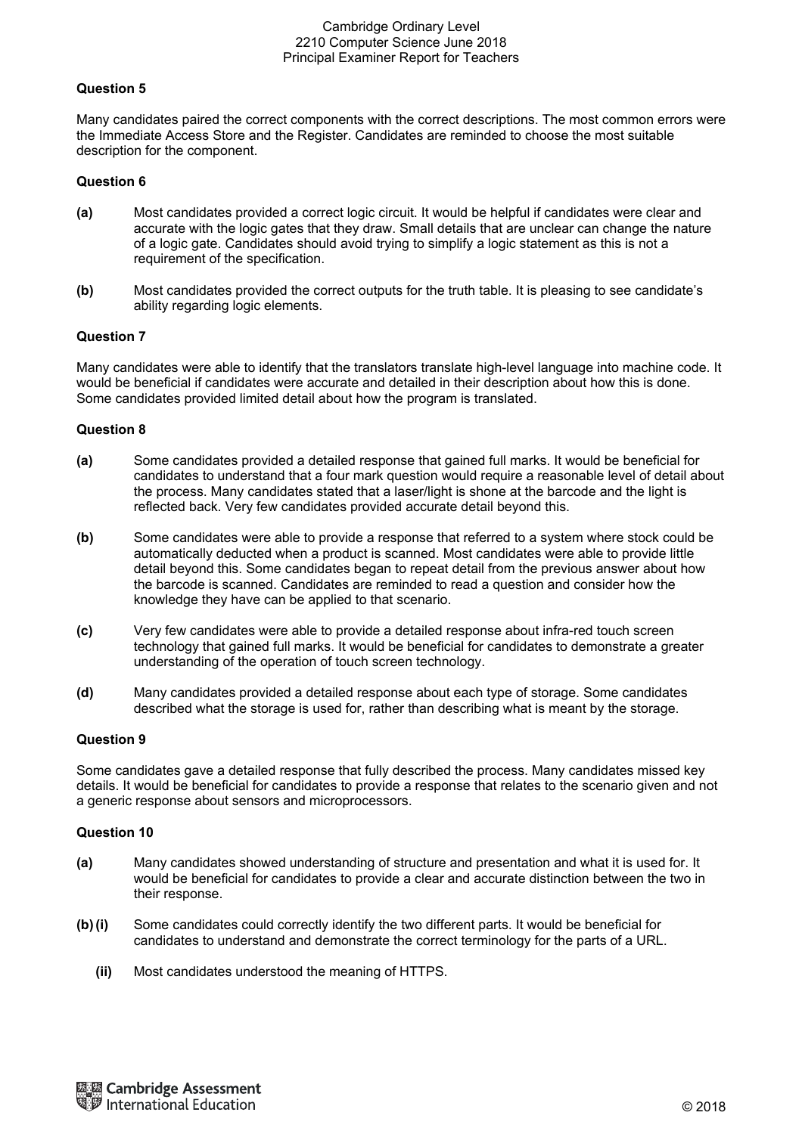## **Question 5**

Many candidates paired the correct components with the correct descriptions. The most common errors were the Immediate Access Store and the Register. Candidates are reminded to choose the most suitable description for the component.

## **Question 6**

- **(a)** Most candidates provided a correct logic circuit. It would be helpful if candidates were clear and accurate with the logic gates that they draw. Small details that are unclear can change the nature of a logic gate. Candidates should avoid trying to simplify a logic statement as this is not a requirement of the specification.
- **(b)** Most candidates provided the correct outputs for the truth table. It is pleasing to see candidate's ability regarding logic elements.

#### **Question 7**

Many candidates were able to identify that the translators translate high-level language into machine code. It would be beneficial if candidates were accurate and detailed in their description about how this is done. Some candidates provided limited detail about how the program is translated.

#### **Question 8**

- **(a)** Some candidates provided a detailed response that gained full marks. It would be beneficial for candidates to understand that a four mark question would require a reasonable level of detail about the process. Many candidates stated that a laser/light is shone at the barcode and the light is reflected back. Very few candidates provided accurate detail beyond this.
- **(b)** Some candidates were able to provide a response that referred to a system where stock could be automatically deducted when a product is scanned. Most candidates were able to provide little detail beyond this. Some candidates began to repeat detail from the previous answer about how the barcode is scanned. Candidates are reminded to read a question and consider how the knowledge they have can be applied to that scenario.
- **(c)** Very few candidates were able to provide a detailed response about infra-red touch screen technology that gained full marks. It would be beneficial for candidates to demonstrate a greater understanding of the operation of touch screen technology.
- **(d)** Many candidates provided a detailed response about each type of storage. Some candidates described what the storage is used for, rather than describing what is meant by the storage.

#### **Question 9**

Some candidates gave a detailed response that fully described the process. Many candidates missed key details. It would be beneficial for candidates to provide a response that relates to the scenario given and not a generic response about sensors and microprocessors.

- **(a)** Many candidates showed understanding of structure and presentation and what it is used for. It would be beneficial for candidates to provide a clear and accurate distinction between the two in their response.
- **(b) (i)** Some candidates could correctly identify the two different parts. It would be beneficial for candidates to understand and demonstrate the correct terminology for the parts of a URL.
	- **(ii)** Most candidates understood the meaning of HTTPS.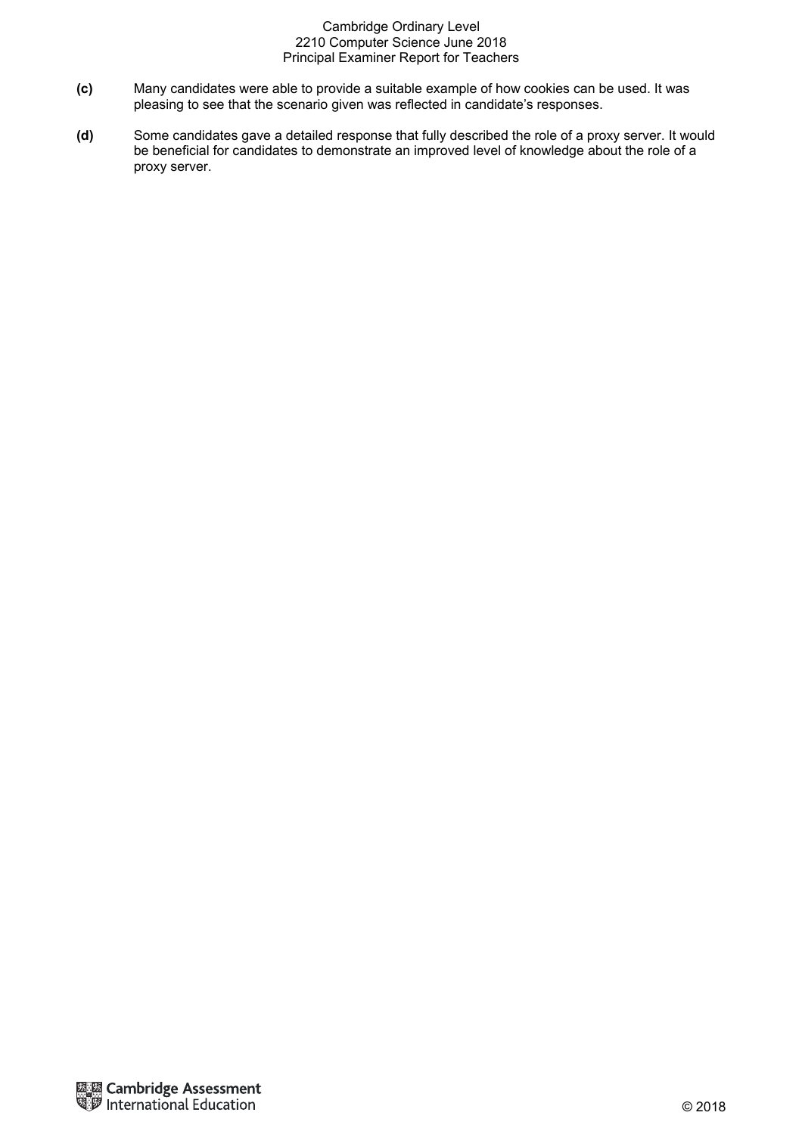- **(c)** Many candidates were able to provide a suitable example of how cookies can be used. It was pleasing to see that the scenario given was reflected in candidate's responses.
- **(d)** Some candidates gave a detailed response that fully described the role of a proxy server. It would be beneficial for candidates to demonstrate an improved level of knowledge about the role of a proxy server.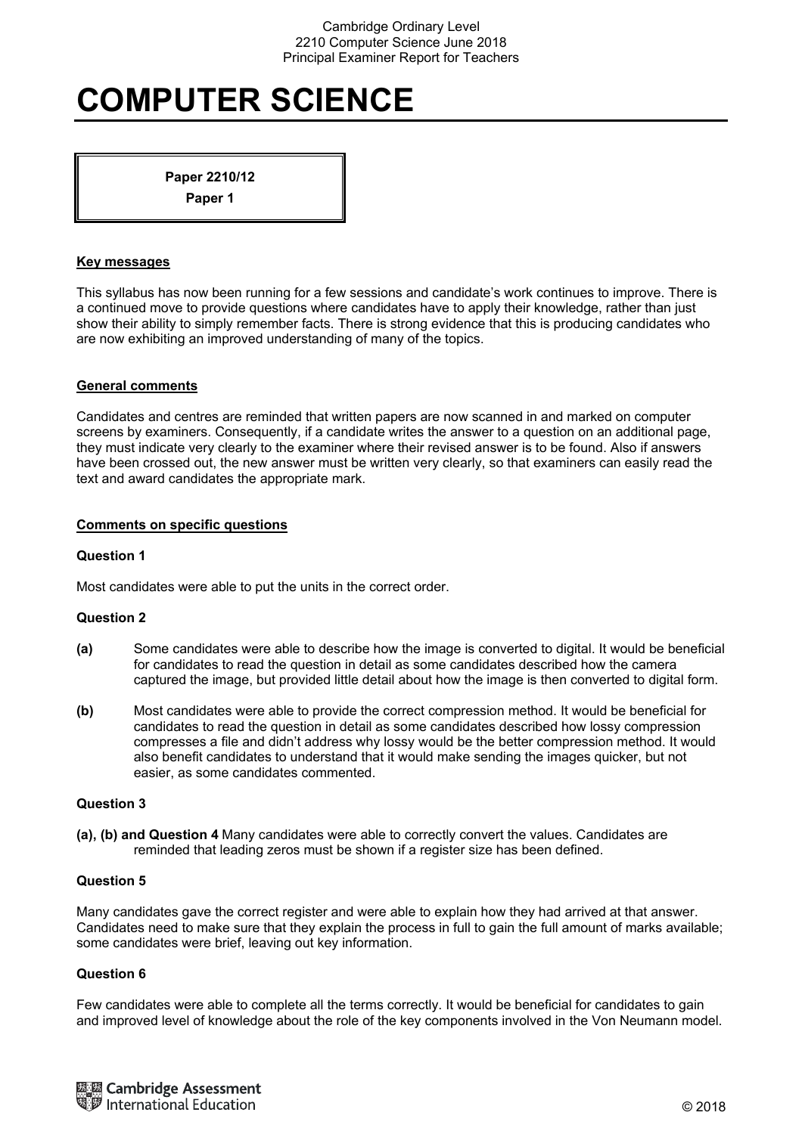# **COMPUTER SCIENCE**

**Paper 2210/12 Paper 1** 

## **Key messages**

This syllabus has now been running for a few sessions and candidate's work continues to improve. There is a continued move to provide questions where candidates have to apply their knowledge, rather than just show their ability to simply remember facts. There is strong evidence that this is producing candidates who are now exhibiting an improved understanding of many of the topics.

## **General comments**

Candidates and centres are reminded that written papers are now scanned in and marked on computer screens by examiners. Consequently, if a candidate writes the answer to a question on an additional page, they must indicate very clearly to the examiner where their revised answer is to be found. Also if answers have been crossed out, the new answer must be written very clearly, so that examiners can easily read the text and award candidates the appropriate mark.

## **Comments on specific questions**

## **Question 1**

Most candidates were able to put the units in the correct order.

### **Question 2**

- **(a)** Some candidates were able to describe how the image is converted to digital. It would be beneficial for candidates to read the question in detail as some candidates described how the camera captured the image, but provided little detail about how the image is then converted to digital form.
- **(b)** Most candidates were able to provide the correct compression method. It would be beneficial for candidates to read the question in detail as some candidates described how lossy compression compresses a file and didn't address why lossy would be the better compression method. It would also benefit candidates to understand that it would make sending the images quicker, but not easier, as some candidates commented.

#### **Question 3**

**(a), (b) and Question 4** Many candidates were able to correctly convert the values. Candidates are reminded that leading zeros must be shown if a register size has been defined.

#### **Question 5**

Many candidates gave the correct register and were able to explain how they had arrived at that answer. Candidates need to make sure that they explain the process in full to gain the full amount of marks available; some candidates were brief, leaving out key information.

# **Question 6**

Few candidates were able to complete all the terms correctly. It would be beneficial for candidates to gain and improved level of knowledge about the role of the key components involved in the Von Neumann model.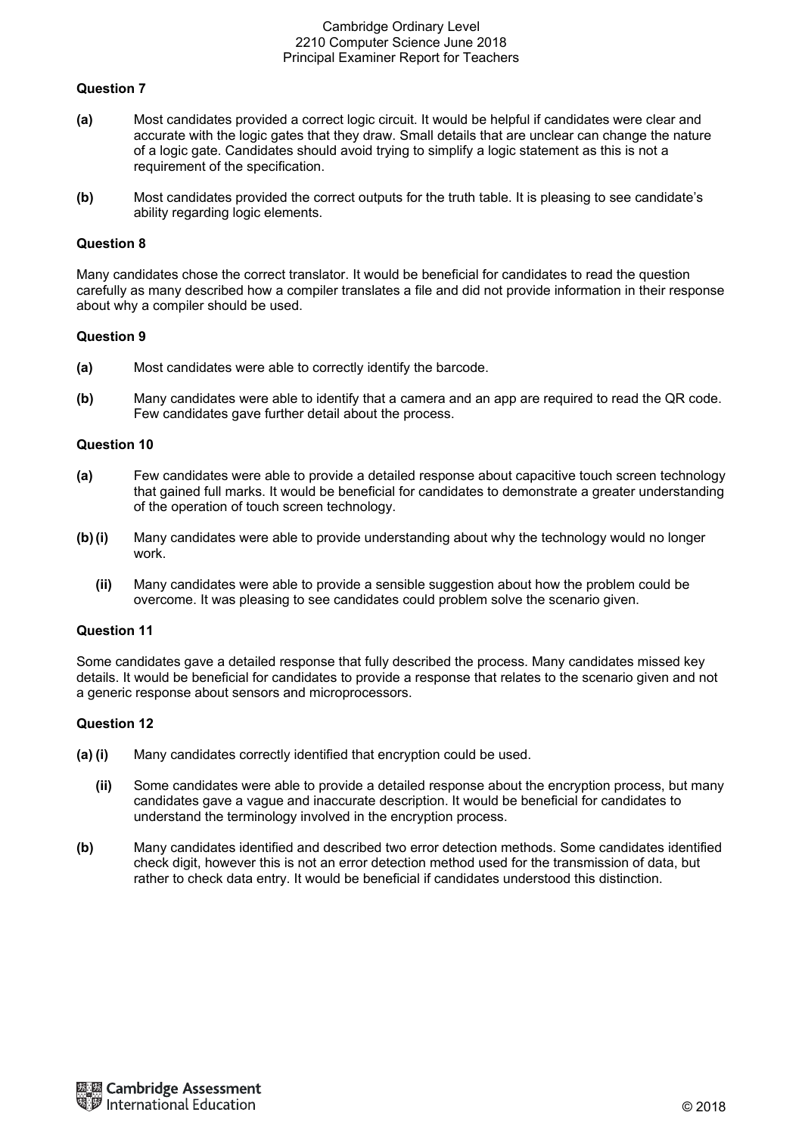# **Question 7**

- **(a)** Most candidates provided a correct logic circuit. It would be helpful if candidates were clear and accurate with the logic gates that they draw. Small details that are unclear can change the nature of a logic gate. Candidates should avoid trying to simplify a logic statement as this is not a requirement of the specification.
- **(b)** Most candidates provided the correct outputs for the truth table. It is pleasing to see candidate's ability regarding logic elements.

## **Question 8**

Many candidates chose the correct translator. It would be beneficial for candidates to read the question carefully as many described how a compiler translates a file and did not provide information in their response about why a compiler should be used.

#### **Question 9**

- **(a)** Most candidates were able to correctly identify the barcode.
- **(b)** Many candidates were able to identify that a camera and an app are required to read the QR code. Few candidates gave further detail about the process.

## **Question 10**

- **(a)** Few candidates were able to provide a detailed response about capacitive touch screen technology that gained full marks. It would be beneficial for candidates to demonstrate a greater understanding of the operation of touch screen technology.
- **(b) (i)** Many candidates were able to provide understanding about why the technology would no longer work.
	- **(ii)** Many candidates were able to provide a sensible suggestion about how the problem could be overcome. It was pleasing to see candidates could problem solve the scenario given.

#### **Question 11**

Some candidates gave a detailed response that fully described the process. Many candidates missed key details. It would be beneficial for candidates to provide a response that relates to the scenario given and not a generic response about sensors and microprocessors.

- **(a) (i)** Many candidates correctly identified that encryption could be used.
	- **(ii)** Some candidates were able to provide a detailed response about the encryption process, but many candidates gave a vague and inaccurate description. It would be beneficial for candidates to understand the terminology involved in the encryption process.
- **(b)** Many candidates identified and described two error detection methods. Some candidates identified check digit, however this is not an error detection method used for the transmission of data, but rather to check data entry. It would be beneficial if candidates understood this distinction.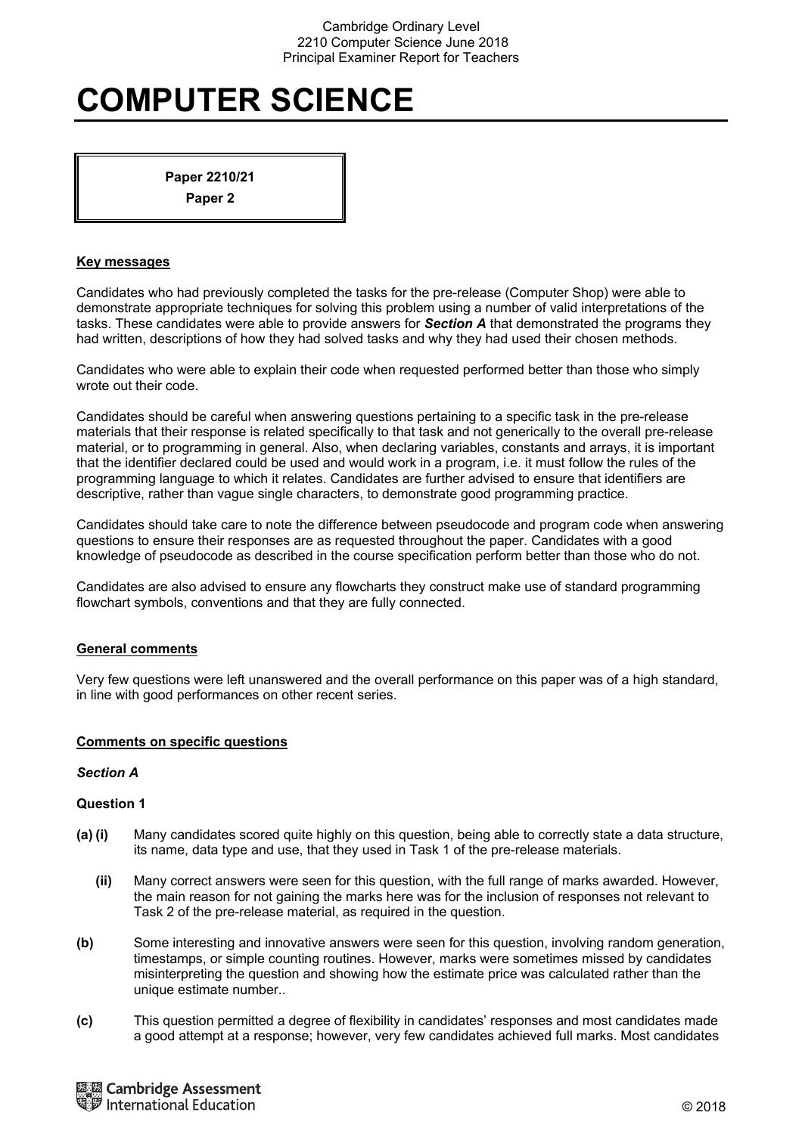# **COMPUTER SCIENCE**

**Paper 2210/21 Paper 2** 

### **Key messages**

Candidates who had previously completed the tasks for the pre-release (Computer Shop) were able to demonstrate appropriate techniques for solving this problem using a number of valid interpretations of the tasks. These candidates were able to provide answers for *Section A* that demonstrated the programs they had written, descriptions of how they had solved tasks and why they had used their chosen methods.

Candidates who were able to explain their code when requested performed better than those who simply wrote out their code.

Candidates should be careful when answering questions pertaining to a specific task in the pre-release materials that their response is related specifically to that task and not generically to the overall pre-release material, or to programming in general. Also, when declaring variables, constants and arrays, it is important that the identifier declared could be used and would work in a program, i.e. it must follow the rules of the programming language to which it relates. Candidates are further advised to ensure that identifiers are descriptive, rather than vague single characters, to demonstrate good programming practice.

Candidates should take care to note the difference between pseudocode and program code when answering questions to ensure their responses are as requested throughout the paper. Candidates with a good knowledge of pseudocode as described in the course specification perform better than those who do not.

Candidates are also advised to ensure any flowcharts they construct make use of standard programming flowchart symbols, conventions and that they are fully connected.

# **General comments**

Very few questions were left unanswered and the overall performance on this paper was of a high standard, in line with good performances on other recent series.

#### **Comments on specific questions**

#### *Section A*

- **(a) (i)** Many candidates scored quite highly on this question, being able to correctly state a data structure, its name, data type and use, that they used in Task 1 of the pre-release materials.
	- **(ii)** Many correct answers were seen for this question, with the full range of marks awarded. However, the main reason for not gaining the marks here was for the inclusion of responses not relevant to Task 2 of the pre-release material, as required in the question.
- **(b)** Some interesting and innovative answers were seen for this question, involving random generation, timestamps, or simple counting routines. However, marks were sometimes missed by candidates misinterpreting the question and showing how the estimate price was calculated rather than the unique estimate number..
- **(c)** This question permitted a degree of flexibility in candidates' responses and most candidates made a good attempt at a response; however, very few candidates achieved full marks. Most candidates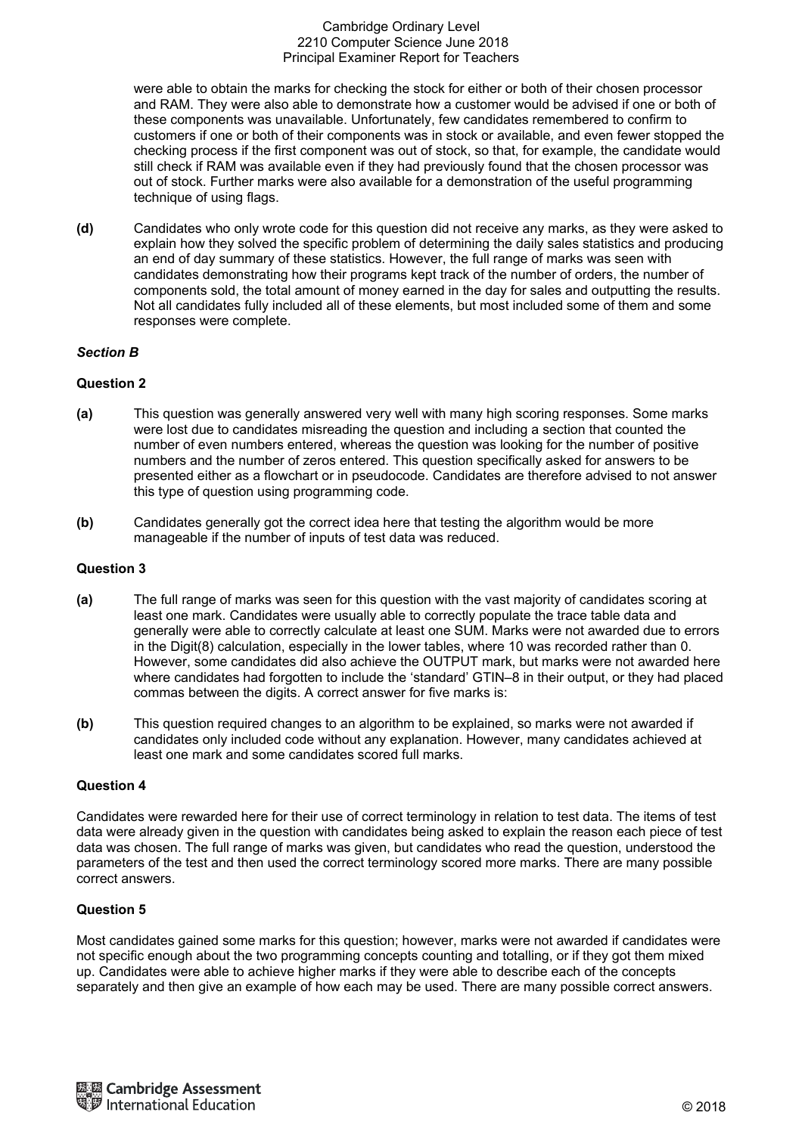were able to obtain the marks for checking the stock for either or both of their chosen processor and RAM. They were also able to demonstrate how a customer would be advised if one or both of these components was unavailable. Unfortunately, few candidates remembered to confirm to customers if one or both of their components was in stock or available, and even fewer stopped the checking process if the first component was out of stock, so that, for example, the candidate would still check if RAM was available even if they had previously found that the chosen processor was out of stock. Further marks were also available for a demonstration of the useful programming technique of using flags.

**(d)** Candidates who only wrote code for this question did not receive any marks, as they were asked to explain how they solved the specific problem of determining the daily sales statistics and producing an end of day summary of these statistics. However, the full range of marks was seen with candidates demonstrating how their programs kept track of the number of orders, the number of components sold, the total amount of money earned in the day for sales and outputting the results. Not all candidates fully included all of these elements, but most included some of them and some responses were complete.

## *Section B*

## **Question 2**

- **(a)** This question was generally answered very well with many high scoring responses. Some marks were lost due to candidates misreading the question and including a section that counted the number of even numbers entered, whereas the question was looking for the number of positive numbers and the number of zeros entered. This question specifically asked for answers to be presented either as a flowchart or in pseudocode. Candidates are therefore advised to not answer this type of question using programming code.
- **(b)** Candidates generally got the correct idea here that testing the algorithm would be more manageable if the number of inputs of test data was reduced.

# **Question 3**

- **(a)** The full range of marks was seen for this question with the vast majority of candidates scoring at least one mark. Candidates were usually able to correctly populate the trace table data and generally were able to correctly calculate at least one SUM. Marks were not awarded due to errors in the Digit(8) calculation, especially in the lower tables, where 10 was recorded rather than 0. However, some candidates did also achieve the OUTPUT mark, but marks were not awarded here where candidates had forgotten to include the 'standard' GTIN–8 in their output, or they had placed commas between the digits. A correct answer for five marks is:
- **(b)** This question required changes to an algorithm to be explained, so marks were not awarded if candidates only included code without any explanation. However, many candidates achieved at least one mark and some candidates scored full marks.

#### **Question 4**

Candidates were rewarded here for their use of correct terminology in relation to test data. The items of test data were already given in the question with candidates being asked to explain the reason each piece of test data was chosen. The full range of marks was given, but candidates who read the question, understood the parameters of the test and then used the correct terminology scored more marks. There are many possible correct answers.

#### **Question 5**

Most candidates gained some marks for this question; however, marks were not awarded if candidates were not specific enough about the two programming concepts counting and totalling, or if they got them mixed up. Candidates were able to achieve higher marks if they were able to describe each of the concepts separately and then give an example of how each may be used. There are many possible correct answers.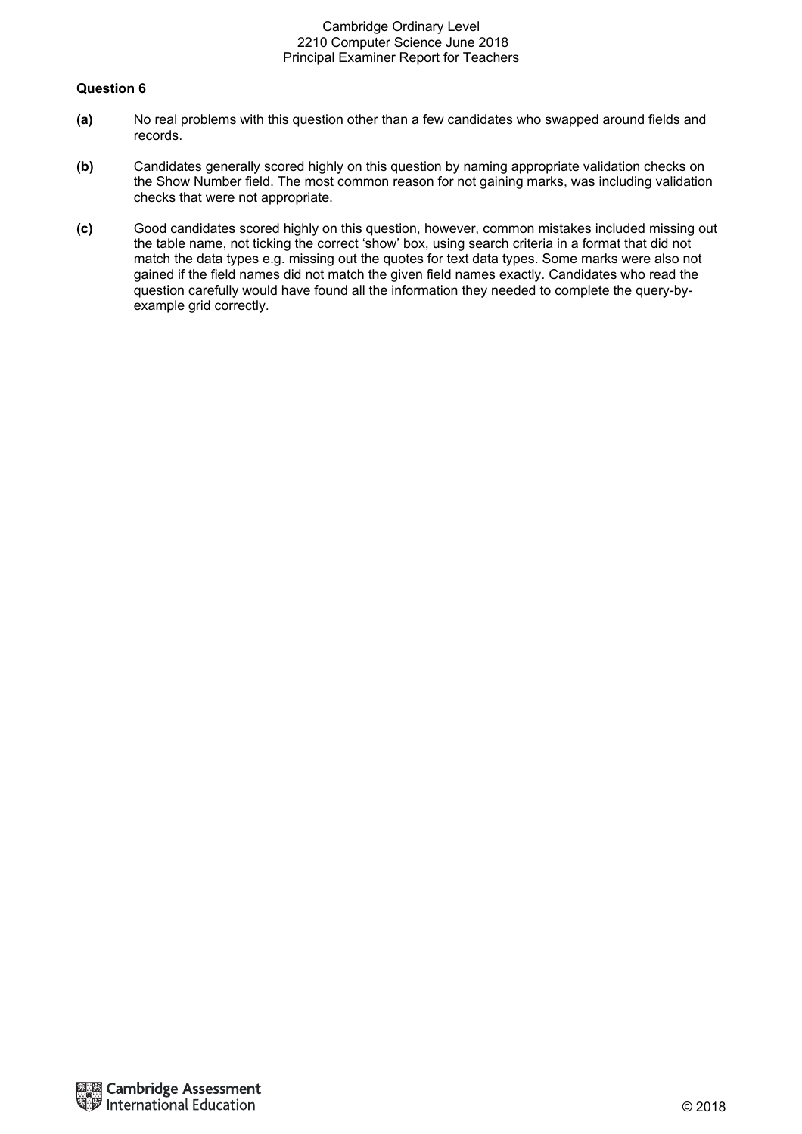- **(a)** No real problems with this question other than a few candidates who swapped around fields and records.
- **(b)** Candidates generally scored highly on this question by naming appropriate validation checks on the Show Number field. The most common reason for not gaining marks, was including validation checks that were not appropriate.
- **(c)** Good candidates scored highly on this question, however, common mistakes included missing out the table name, not ticking the correct 'show' box, using search criteria in a format that did not match the data types e.g. missing out the quotes for text data types. Some marks were also not gained if the field names did not match the given field names exactly. Candidates who read the question carefully would have found all the information they needed to complete the query-byexample grid correctly.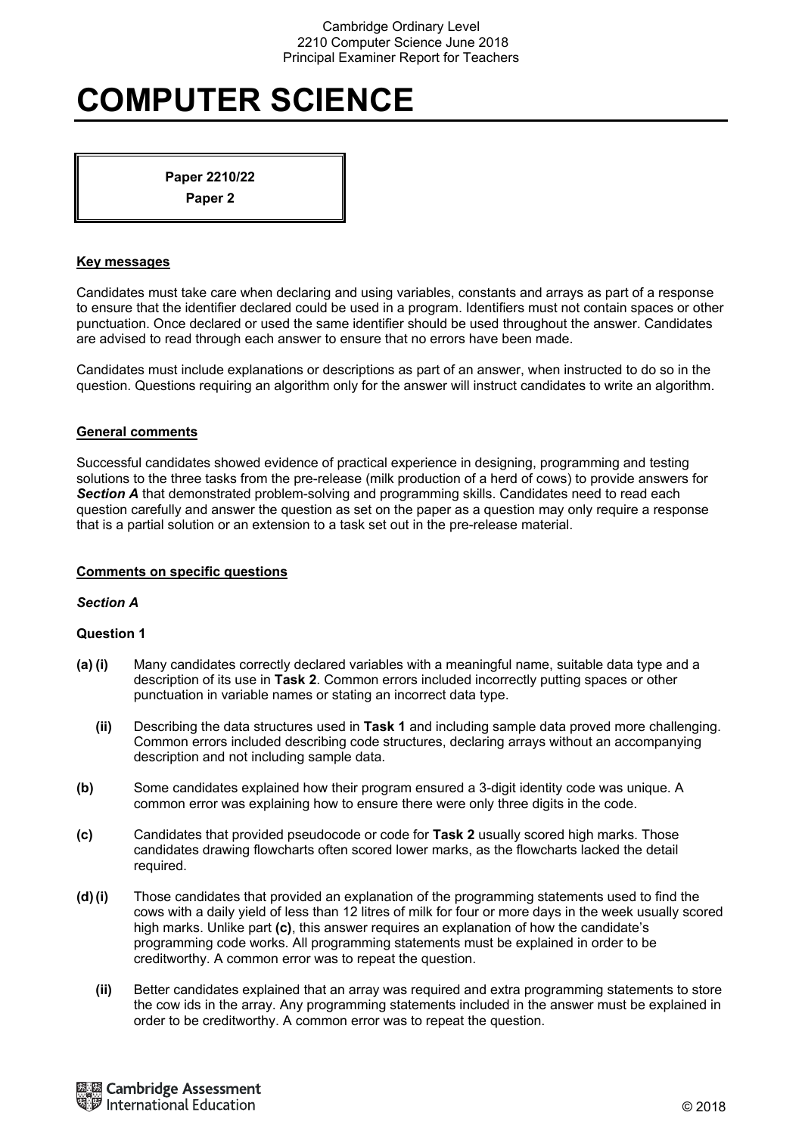# **COMPUTER SCIENCE**

**Paper 2210/22 Paper 2** 

#### **Key messages**

Candidates must take care when declaring and using variables, constants and arrays as part of a response to ensure that the identifier declared could be used in a program. Identifiers must not contain spaces or other punctuation. Once declared or used the same identifier should be used throughout the answer. Candidates are advised to read through each answer to ensure that no errors have been made.

Candidates must include explanations or descriptions as part of an answer, when instructed to do so in the question. Questions requiring an algorithm only for the answer will instruct candidates to write an algorithm.

#### **General comments**

Successful candidates showed evidence of practical experience in designing, programming and testing solutions to the three tasks from the pre-release (milk production of a herd of cows) to provide answers for *Section A* that demonstrated problem-solving and programming skills. Candidates need to read each question carefully and answer the question as set on the paper as a question may only require a response that is a partial solution or an extension to a task set out in the pre-release material.

#### **Comments on specific questions**

#### *Section A*

- **(a) (i)** Many candidates correctly declared variables with a meaningful name, suitable data type and a description of its use in **Task 2**. Common errors included incorrectly putting spaces or other punctuation in variable names or stating an incorrect data type.
	- **(ii)** Describing the data structures used in **Task 1** and including sample data proved more challenging. Common errors included describing code structures, declaring arrays without an accompanying description and not including sample data.
- **(b)** Some candidates explained how their program ensured a 3-digit identity code was unique. A common error was explaining how to ensure there were only three digits in the code.
- **(c)** Candidates that provided pseudocode or code for **Task 2** usually scored high marks. Those candidates drawing flowcharts often scored lower marks, as the flowcharts lacked the detail required.
- **(d) (i)** Those candidates that provided an explanation of the programming statements used to find the cows with a daily yield of less than 12 litres of milk for four or more days in the week usually scored high marks. Unlike part **(c)**, this answer requires an explanation of how the candidate's programming code works. All programming statements must be explained in order to be creditworthy. A common error was to repeat the question.
	- **(ii)** Better candidates explained that an array was required and extra programming statements to store the cow ids in the array. Any programming statements included in the answer must be explained in order to be creditworthy. A common error was to repeat the question.